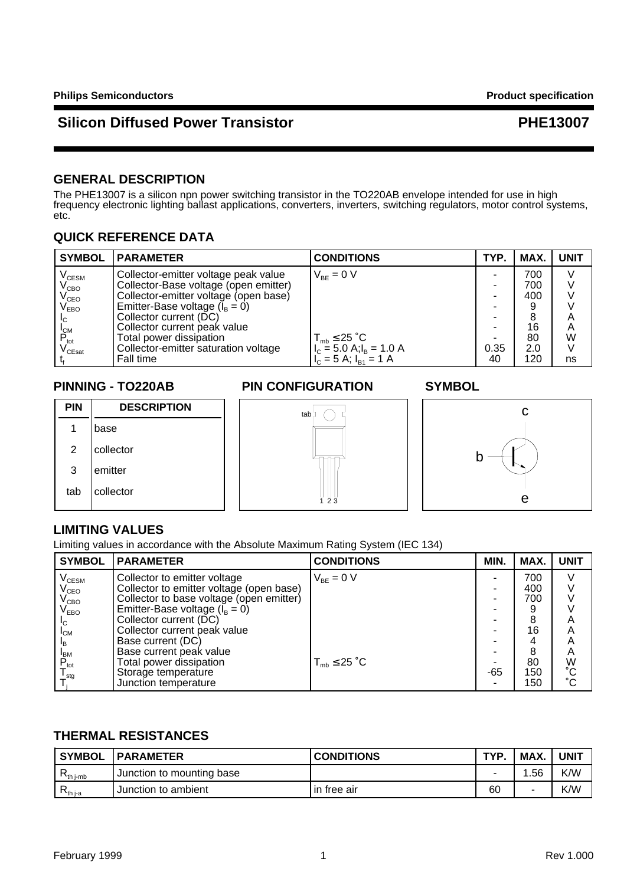## **GENERAL DESCRIPTION**

The PHE13007 is a silicon npn power switching transistor in the TO220AB envelope intended for use in high frequency electronic lighting ballast applications, converters, inverters, switching regulators, motor control systems, etc.

## **QUICK REFERENCE DATA**

| <b>SYMBOL</b>                        | <b>PARAMETER</b>                      | <b>CONDITIONS</b>                 | TYP. | MAX. | <b>UNIT</b> |
|--------------------------------------|---------------------------------------|-----------------------------------|------|------|-------------|
| $\rm V_{\rm CESM}$                   | Collector-emitter voltage peak value  | $V_{BE} = 0 V$                    |      | 700  |             |
| $V_{\texttt{CBO}}$                   | Collector-Base voltage (open emitter) |                                   |      | 700  |             |
|                                      | Collector-emitter voltage (open base) |                                   |      | 400  |             |
| V <sub>CEO</sub><br>V <sub>EBO</sub> | Emitter-Base voltage $(I_B = 0)$      |                                   |      |      |             |
| Iс                                   | Collector current (DC)                |                                   |      |      | Α           |
|                                      | Collector current peak value          |                                   |      | 16   | A           |
| $P_{\rm tot}$                        | Total power dissipation               | $T_{\text{mb}} \leq 25 \degree C$ |      | 80   | W           |
| $\mathsf{V}_{\mathsf{CEsat}}$        | Collector-emitter saturation voltage  | $I_{C} = 5.0$ A; $I_{B} = 1.0$ A  | 0.35 | 2.0  |             |
|                                      | Fall time                             | $I_{C} = 5$ A; $I_{B1} = 1$ A     | 40   | 120  | ns          |

## **PINNING - TO220AB PIN CONFIGURATION SYMBOL**



## **LIMITING VALUES**

Limiting values in accordance with the Absolute Maximum Rating System (IEC 134)

| <b>SYMBOL</b>               | <b>PARAMETER</b>                         | <b>CONDITIONS</b>   | MIN. | MAX. | <b>UNIT</b>     |
|-----------------------------|------------------------------------------|---------------------|------|------|-----------------|
| $\rm V_{\rm CESM}$          | Collector to emitter voltage             | $V_{BF} = 0 V$      |      | 700  |                 |
| $V_{\text{CEO}}$            | Collector to emitter voltage (open base) |                     |      | 400  |                 |
| $\rm V_{CBO}$               | Collector to base voltage (open emitter) |                     |      | 700  |                 |
| $\mathsf{V}_{\mathsf{EBO}}$ | Emitter-Base voltage $(I_B = 0)$         |                     |      |      |                 |
| lc.                         | Collector current (DC)                   |                     |      | 8    | Α               |
| $I_{CM}$                    | Collector current peak value             |                     |      | 16   | Α               |
| ΙŖ                          | Base current (DC)                        |                     |      | 4    | Α               |
|                             | Base current peak value                  |                     |      | 8    | A               |
| $P_{\rm tot}^{\rm BM}$      | Total power dissipation                  | $T_{mb} \leq 25$ °C |      | 80   | W               |
| $I_{\text{stq}}$            | Storage temperature                      |                     | -65  | 150  | $\rm ^{\circ}C$ |
|                             | Junction temperature                     |                     |      | 150  | °Č              |

## **THERMAL RESISTANCES**

| <b>SYMBOL</b>                               | <b>PARAMETER</b>            | <b>CONDITIONS</b> | TVO | MAX. | <b>UNIT</b> |
|---------------------------------------------|-----------------------------|-------------------|-----|------|-------------|
| $R_{\text{th}}$ i-mb                        | , Junction to mounting base |                   |     | .56  | K/W         |
| ' $\mathsf{R}_{\mathsf{th} \, \mathsf{ja}}$ | Junction to ambient         | l in free air     | 60  | -    | K/W         |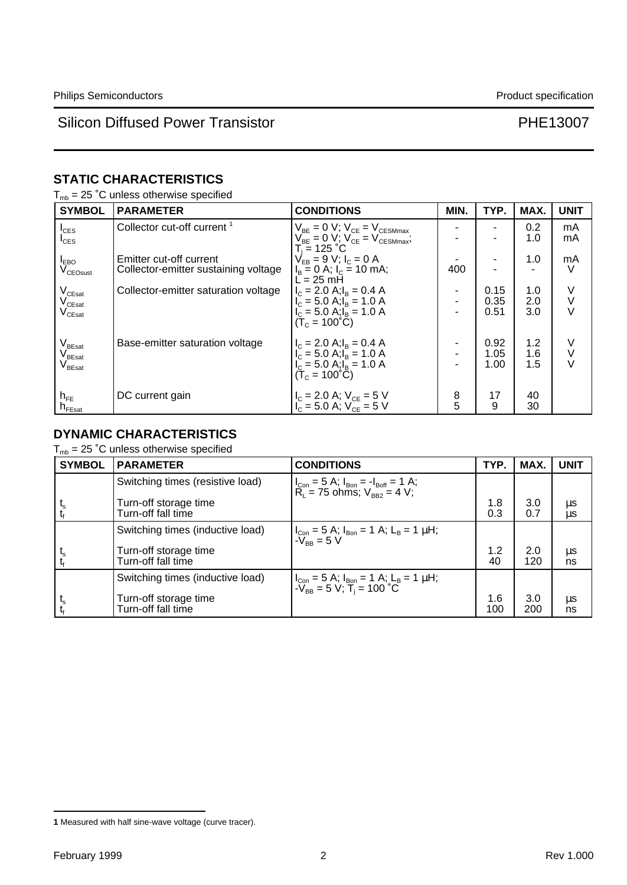# **STATIC CHARACTERISTICS**

|  |  |  |  |  | $T_{\text{mb}}$ = 25 °C unless otherwise specified |  |
|--|--|--|--|--|----------------------------------------------------|--|
|--|--|--|--|--|----------------------------------------------------|--|

| <b>SYMBOL</b>                                                                                                                | <b>PARAMETER</b>                                                | <b>CONDITIONS</b>                                                                                                                                   | MIN.   | TYP.                 | MAX.              | <b>UNIT</b>      |
|------------------------------------------------------------------------------------------------------------------------------|-----------------------------------------------------------------|-----------------------------------------------------------------------------------------------------------------------------------------------------|--------|----------------------|-------------------|------------------|
| $I_{\text{CES}}$<br>$I_{\text{CES}}$                                                                                         | Collector cut-off current <sup>1</sup>                          | $V_{BE} = 0 V$ ; $V_{CE} = V_{CESMmax}$<br>$V_{RE} = 0 V$ ; $V_{CE} = V_{CESMmax}$<br>T. = 125 °C.                                                  |        |                      | 0.2<br>1.0        | mA<br>mA         |
| $I_{EBO}$<br>$V_{CEO sust}$                                                                                                  | Emitter cut-off current<br>Collector-emitter sustaining voltage | $V_{FB} = 9 V$ ; $I_c = 0 A$<br>$I_B = 0$ A; $I_C = 10$ mA;<br>$L = 25$ mH                                                                          | 400    |                      | 1.0               | mA<br>V          |
| $V_{CEsat}$<br>$\mathsf{V}_{\mathsf{C}\mathsf{East}}$<br>$\mathsf{V}_{\mathsf{C}\mathsf{East}}$                              | Collector-emitter saturation voltage                            | $I_c = 2.0$ A; $I_B = 0.4$ A<br>$I_c = 5.0$ A; $I_B = 1.0$ A<br>$I_c = 5.0$ A; $I_B = 1.0$ A<br>$(T_c = 100^{\circ}C)$                              |        | 0.15<br>0.35<br>0.51 | 1.0<br>2.0<br>3.0 | V<br>٧<br>$\vee$ |
| $\mathsf{V}_{\mathsf{B}\mathsf{East}}$<br>. $\mathsf{V}_{\mathsf{B}\mathsf{East}}$<br>$\mathsf{V}_{\mathsf{B}\mathsf{East}}$ | Base-emitter saturation voltage                                 | $I_c = 2.0$ A; $I_B = 0.4$ A<br>$I_{C} = 5.0$ A; $I_{B} = 1.0$ A<br>$I_{\rm C} = 5.0$ A; $I_{\rm B} = 1.0$ A<br>$(\dot{T}_c = 100^{\circ}\text{C})$ |        | 0.92<br>1.05<br>1.00 | 1.2<br>1.6<br>1.5 | V<br>V<br>V      |
| $h_{FE}$<br>${\sf n}_{\sf FEsat}$                                                                                            | DC current gain                                                 | $I_C = 2.0$ A; $V_{CE} = 5$ V<br>$I_C = 5.0$ A; $V_{CE} = 5$ V                                                                                      | 8<br>5 | 17<br>9              | 40<br>30          |                  |

# **DYNAMIC CHARACTERISTICS**

 $T_{mb}$  = 25 °C unless otherwise specified

| <b>SYMBOL</b> | <b>PARAMETER</b>                            | <b>CONDITIONS</b>                                                                                                                                                                                                        | TYP.       | MAX.       | <b>UNIT</b>   |
|---------------|---------------------------------------------|--------------------------------------------------------------------------------------------------------------------------------------------------------------------------------------------------------------------------|------------|------------|---------------|
|               | Switching times (resistive load)            | $I_{Con} = 5$ A; $I_{Bon} = -I_{Boff} = 1$ A;<br>$R_1 = 75$ ohms; $V_{BB2} = 4$ V;                                                                                                                                       |            |            |               |
|               | Turn-off storage time<br>Turn-off fall time |                                                                                                                                                                                                                          | 1.8<br>0.3 | 3.0<br>0.7 | μs<br>$\mu s$ |
|               | Switching times (inductive load)            | $\left  \int_{\text{Con}} = 5 \text{ A}; \, I_{\text{Bon}} = 1 \text{ A}; \, L_{\text{B}} = 1 \text{ }\mu\text{H}; \right.$<br>$\left  \int_{\text{BR}} = 5 \text{ V} \right $                                           |            |            |               |
|               | Turn-off storage time<br>Turn-off fall time |                                                                                                                                                                                                                          | 1.2<br>40  | 2.0<br>120 | $\mu$ s<br>ns |
|               | Switching times (inductive load)            | $\left  \begin{array}{l l} I_{\text{Con}} = 5 \text{ A}; I_{\text{Bon}} = 1 \text{ A}; L_{\text{B}} = 1 \text{ \mu H}; \\ -V_{\text{BB}} = 5 \text{ V}; T_{\text{i}} = 100 \text{ }^{\circ}\text{C} \end{array} \right $ |            |            |               |
| $L_{\rm S}$   | Turn-off storage time<br>Turn-off fall time |                                                                                                                                                                                                                          | 1.6<br>100 | 3.0<br>200 | μs<br>ns      |

**<sup>1</sup>** Measured with half sine-wave voltage (curve tracer).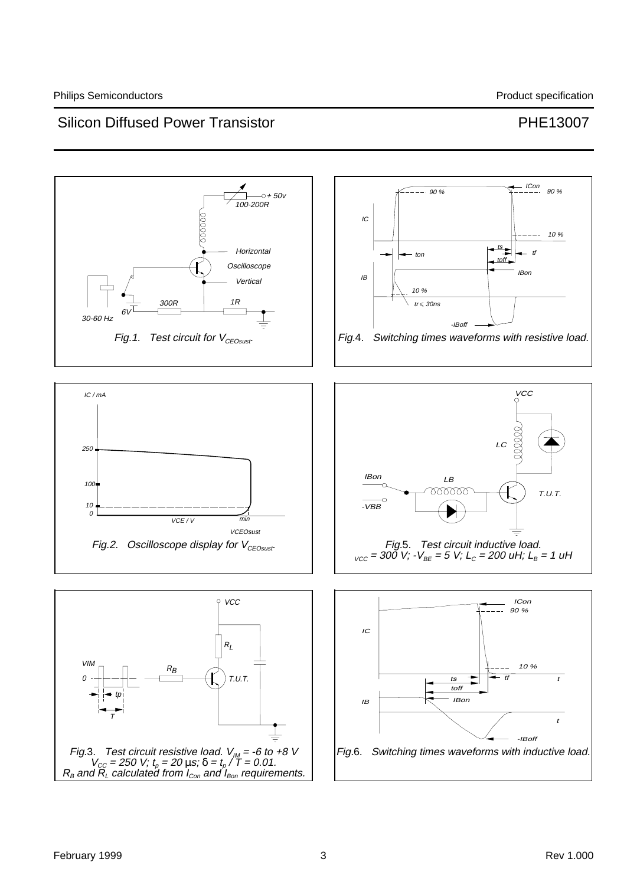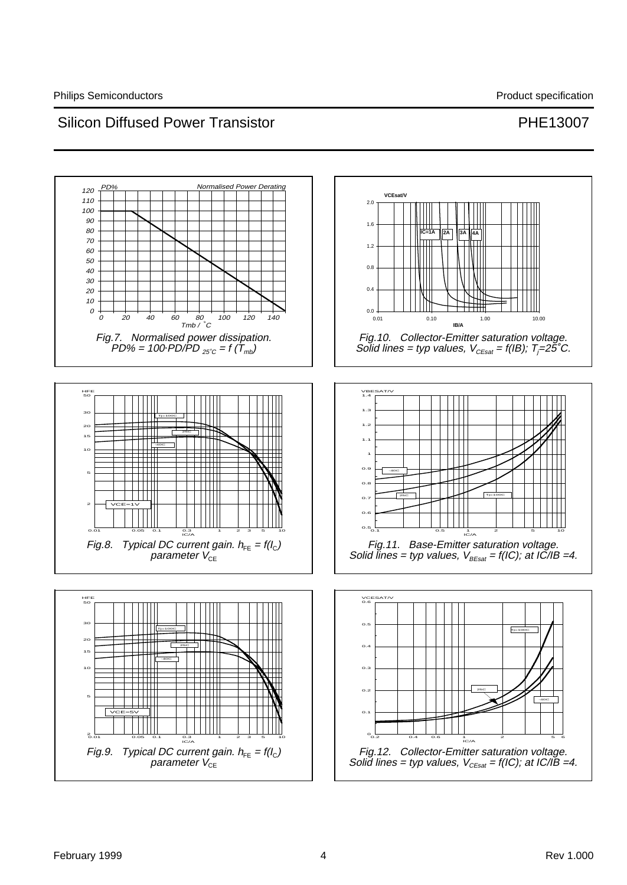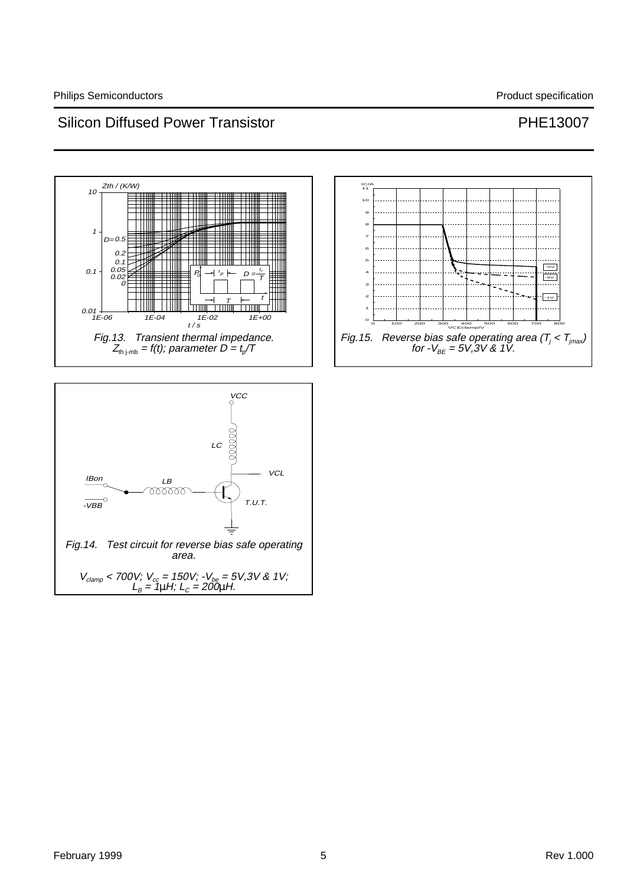



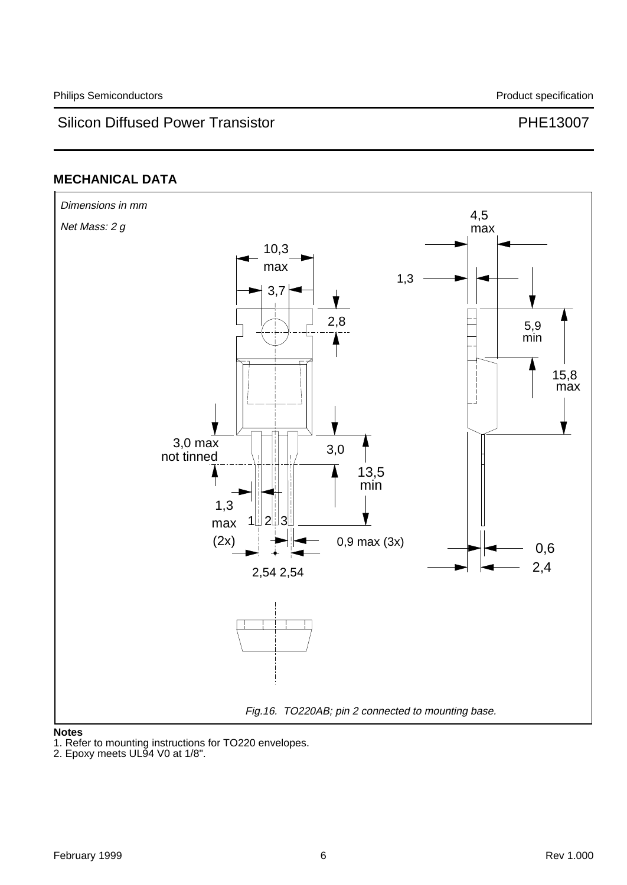# **MECHANICAL DATA**



### **Notes**

1. Refer to mounting instructions for TO220 envelopes.

<sup>2.</sup> Epoxy meets UL94 V0 at 1/8".